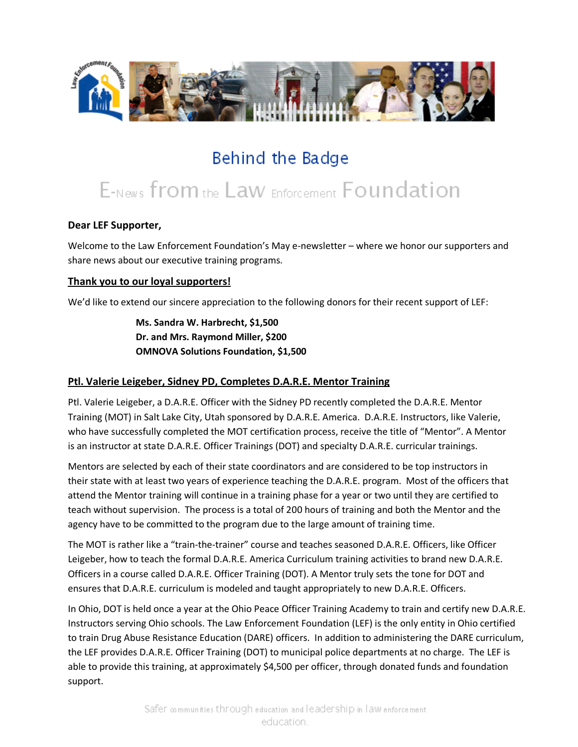

# Behind the Badge

# E-News from the Law Enforcement Foundation

## **Dear LEF Supporter,**

Welcome to the Law Enforcement Foundation's May e-newsletter – where we honor our supporters and share news about our executive training programs.

#### **Thank you to our loyal supporters!**

We'd like to extend our sincere appreciation to the following donors for their recent support of LEF:

**Ms. Sandra W. Harbrecht, \$1,500 Dr. and Mrs. Raymond Miller, \$200 OMNOVA Solutions Foundation, \$1,500**

### **Ptl. Valerie Leigeber, Sidney PD, Completes D.A.R.E. Mentor Training**

Ptl. Valerie Leigeber, a D.A.R.E. Officer with the Sidney PD recently completed the D.A.R.E. Mentor Training (MOT) in Salt Lake City, Utah sponsored by D.A.R.E. America. D.A.R.E. Instructors, like Valerie, who have successfully completed the MOT certification process, receive the title of "Mentor". A Mentor is an instructor at state D.A.R.E. Officer Trainings (DOT) and specialty D.A.R.E. curricular trainings.

Mentors are selected by each of their state coordinators and are considered to be top instructors in their state with at least two years of experience teaching the D.A.R.E. program. Most of the officers that attend the Mentor training will continue in a training phase for a year or two until they are certified to teach without supervision. The process is a total of 200 hours of training and both the Mentor and the agency have to be committed to the program due to the large amount of training time.

The MOT is rather like a "train-the-trainer" course and teaches seasoned D.A.R.E. Officers, like Officer Leigeber, how to teach the formal D.A.R.E. America Curriculum training activities to brand new D.A.R.E. Officers in a course called D.A.R.E. Officer Training (DOT). A Mentor truly sets the tone for DOT and ensures that D.A.R.E. curriculum is modeled and taught appropriately to new D.A.R.E. Officers.

In Ohio, DOT is held once a year at the Ohio Peace Officer Training Academy to train and certify new D.A.R.E. Instructors serving Ohio schools. The Law Enforcement Foundation (LEF) is the only entity in Ohio certified to train Drug Abuse Resistance Education (DARE) officers. In addition to administering the DARE curriculum, the LEF provides D.A.R.E. Officer Training (DOT) to municipal police departments at no charge. The LEF is able to provide this training, at approximately \$4,500 per officer, through donated funds and foundation support.